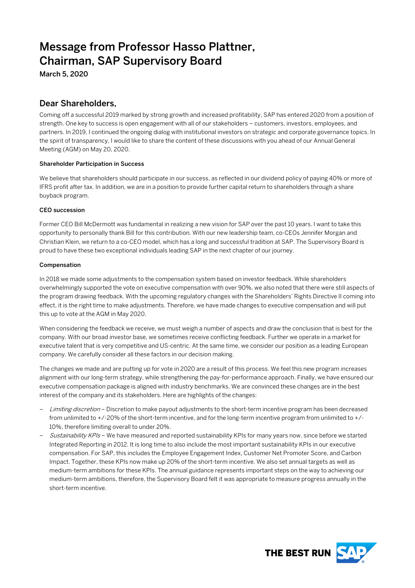# Message from Professor Hasso Plattner, Chairman, SAP Supervisory Board

March 5, 2020

# Dear Shareholders,

Coming off a successful 2019 marked by strong growth and increased profitability, SAP has entered 2020 from a position of strength. One key to success is open engagement with all of our stakeholders – customers, investors, employees, and partners. In 2019, I continued the ongoing dialog with institutional investors on strategic and corporate governance topics. In the spirit of transparency, I would like to share the content of these discussions with you ahead of our Annual General Meeting (AGM) on May 20, 2020.

## Shareholder Participation in Success

We believe that shareholders should participate in our success, as reflected in our dividend policy of paying 40% or more of IFRS profit after tax. In addition, we are in a position to provide further capital return to shareholders through a share buyback program.

## CEO succession

Former CEO Bill McDermott was fundamental in realizing a new vision for SAP over the past 10 years. I want to take this opportunity to personally thank Bill for this contribution. With our new leadership team, co-CEOs Jennifer Morgan and Christian Klein, we return to a co-CEO model, which has a long and successful tradition at SAP. The Supervisory Board is proud to have these two exceptional individuals leading SAP in the next chapter of our journey.

## Compensation

In 2018 we made some adjustments to the compensation system based on investor feedback. While shareholders overwhelmingly supported the vote on executive compensation with over 90%, we also noted that there were still aspects of the program drawing feedback. With the upcoming regulatory changes with the Shareholders' Rights Directive II coming into effect, it is the right time to make adjustments. Therefore, we have made changes to executive compensation and will put this up to vote at the AGM in May 2020.

When considering the feedback we receive, we must weigh a number of aspects and draw the conclusion that is best for the company. With our broad investor base, we sometimes receive conflicting feedback. Further we operate in a market for executive talent that is very competitive and US-centric. At the same time, we consider our position as a leading European company. We carefully consider all these factors in our decision making.

The changes we made and are putting up for vote in 2020 are a result of this process. We feel this new program increases alignment with our long-term strategy, while strengthening the pay-for-performance approach. Finally, we have ensured our executive compensation package is aligned with industry benchmarks. We are convinced these changes are in the best interest of the company and its stakeholders. Here are highlights of the changes:

- Limiting discretion Discretion to make payout adjustments to the short-term incentive program has been decreased from unlimited to +/-20% of the short-term incentive, and for the long-term incentive program from unlimited to +/- 10%, therefore limiting overall to under 20%.
- Sustainability KPIs We have measured and reported sustainability KPIs for many years now, since before we started Integrated Reporting in 2012. It is long time to also include the most important sustainability KPIs in our executive compensation. For SAP, this includes the Employee Engagement Index, Customer Net Promoter Score, and Carbon Impact. Together, these KPIs now make up 20% of the short-term incentive. We also set annual targets as well as medium-term ambitions for these KPIs. The annual guidance represents important steps on the way to achieving our medium-term ambitions, therefore, the Supervisory Board felt it was appropriate to measure progress annually in the short-term incentive.